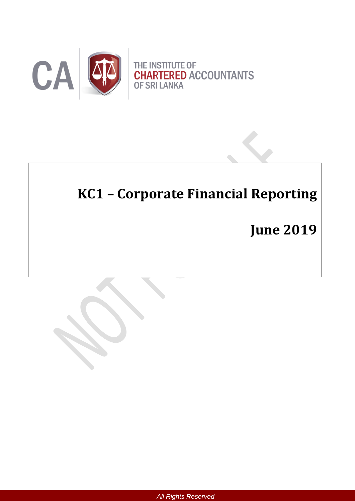

# **KC1 – Corporate Financial Reporting**

**June 2019**

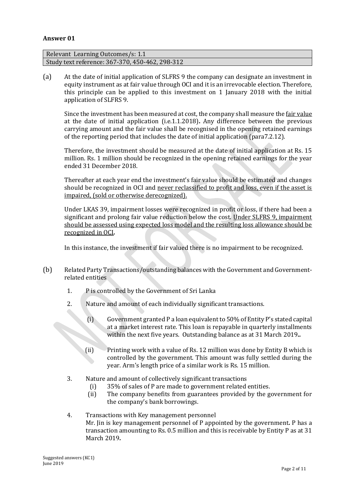#### **Answer 01**

Relevant Learning Outcomes/s: 1.1 Study text reference: 367-370, 450-462, 298-312

(a) At the date of initial application of SLFRS 9 the company can designate an investment in equity instrument as at fair value through OCI and it is an irrevocable election. Therefore, this principle can be applied to this investment on 1 January 2018 with the initial application of SLFRS 9.

Since the investment has been measured at cost, the company shall measure the fair value at the date of initial application (i.e.1.1.2018)**.** Any difference between the previous carrying amount and the fair value shall be recognised in the opening retained earnings of the reporting period that includes the date of initial application (para7.2.12).

Therefore, the investment should be measured at the date of initial application at Rs. 15 million. Rs. 1 million should be recognized in the opening retained earnings for the year ended 31 December 2018.

Thereafter at each year end the investment's fair value should be estimated and changes should be recognized in OCI and never reclassified to profit and loss, even if the asset is impaired, (sold or otherwise derecognized).

Under LKAS 39, impairment losses were recognized in profit or loss, if there had been a significant and prolong fair value reduction below the cost. Under SLFRS 9, impairment should be assessed using expected loss model and the resulting loss allowance should be recognized in OCI*.*

In this instance, the investment if fair valued there is no impairment to be recognized.

- (b) Related Party Transactions/outstanding balances with the Government and Governmentrelated entities
	- 1. P is controlled by the Government of Sri Lanka
	- 2. Nature and amount of each individually significant transactions.
		- (i) Government granted P a loan equivalent to 50% of Entity P's stated capital at a market interest rate. This loan is repayable in quarterly installments within the next five years. Outstanding balance as at 31 March 2019*..*
		- (ii) Printing work with a value of Rs. 12 million was done by Entity B which is controlled by the government. This amount was fully settled during the year. Arm's length price of a similar work is Rs. 15 million.
	- 3. Nature and amount of collectively significant transactions
		- (i) 35% of sales of P are made to government related entities.
		- (ii) The company benefits from guarantees provided by the government for the company's bank borrowings.

4. Transactions with Key management personnel Mr. Jin is key management personnel of P appointed by the government*.* P has a transaction amounting to Rs. 0.5 million and this is receivable by Entity P as at 31 March 2019*.*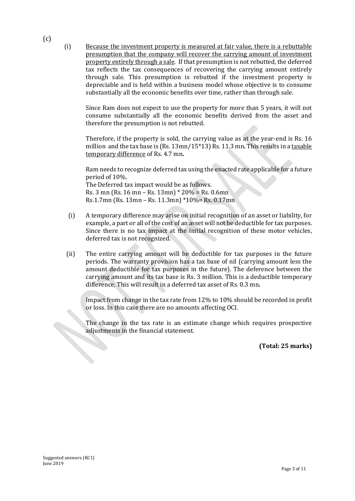(i) Because the investment property is measured at fair value, there is a rebuttable presumption that the company will recover the carrying amount of investment property entirely through a sale. If that presumption is not rebutted, the deferred tax reflects the tax consequences of recovering the carrying amount entirely through sale. This presumption is rebutted if the investment property is depreciable and is held within a business model whose objective is to consume substantially all the economic benefits over time, rather than through sale.

Since Ram does not expect to use the property for more than 5 years, it will not consume substantially all the economic benefits derived from the asset and therefore the presumption is not rebutted.

Therefore, if the property is sold, the carrying value as at the year-end is Rs. 16 million and the tax base is (Rs. 13mn/15\*13) Rs. 11.3 mn*.* This results in a taxable temporary difference of Rs. 4.7 mn*.*

Ram needs to recognize deferred tax using the enacted rate applicable for a future period of 10%.

The Deferred tax impact would be as follows. Rs. 3 mn (Rs. 16 mn – Rs. 13mn) \* 20% = Rs. 0.6mn Rs.1.7mn (Rs. 13mn – Rs. 11.3mn) \*10%= Rs. 0.17mn

- (i) A temporary difference may arise on initial recognition of an asset or liability, for example, a part or all of the cost of an asset will not be deductible for tax purposes. Since there is no tax impact at the initial recognition of these motor vehicles, deferred tax is not recognized.
- (ii) The entire carrying amount will be deductible for tax purposes in the future periods. The warranty provision has a tax base of nil (carrying amount less the amount deductible for tax purposes in the future). The deference between the carrying amount and its tax base is Rs. 3 million. This is a deductible temporary difference. This will result in a deferred tax asset of Rs. 0.3 mn*.*

Impact from change in the tax rate from 12% to 10% should be recorded in profit or loss. In this case there are no amounts affecting OCI.

The change in the tax rate is an estimate change which requires prospective adjustments in the financial statement. <u>S</u>

**(Total: 25 marks)**

 $(c)$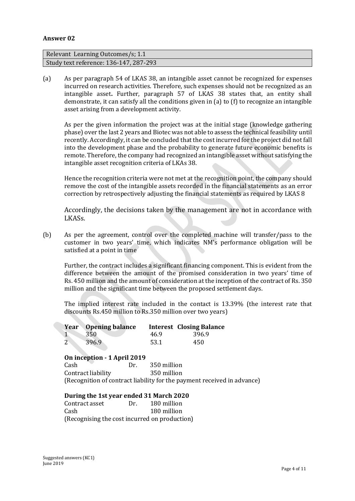#### **Answer 02**

| Relevant Learning Outcomes/s; 1.1      |  |
|----------------------------------------|--|
| Study text reference: 136-147, 287-293 |  |

(a) As per paragraph 54 of LKAS 38, an intangible asset cannot be recognized for expenses incurred on research activities. Therefore, such expenses should not be recognized as an intangible asset**.** Further, paragraph 57 of LKAS 38 states that, an entity shall demonstrate, it can satisfy all the conditions given in (a) to (f) to recognize an intangible asset arising from a development activity.

As per the given information the project was at the initial stage (knowledge gathering phase) over the last 2 years and Biotec was not able to assess the technical feasibility until recently. Accordingly, it can be concluded that the cost incurred for the project did not fall into the development phase and the probability to generate future economic benefits is remote. Therefore, the company had recognized an intangible asset without satisfying the intangible asset recognition criteria of LKAs 38.

Hence the recognition criteria were not met at the recognition point, the company should remove the cost of the intangible assets recorded in the financial statements as an error correction by retrospectively adjusting the financial statements as required by LKAS 8

Accordingly, the decisions taken by the management are not in accordance with LKASs.

(b) As per the agreement, control over the completed machine will transfer/pass to the customer in two years' time, which indicates NM's performance obligation will be satisfied at a point in time

Further, the contract includes a significant financing component. This is evident from the difference between the amount of the promised consideration in two years' time of Rs. 450 million and the amount of consideration at the inception of the contract of Rs. 350 million and the significant time between the proposed settlement days.

The implied interest rate included in the contact is 13.39% (the interest rate that discounts Rs.450 million to Rs.350 million over two years)

| <b>Year</b> Opening balance |      | <b>Interest Closing Balance</b> |
|-----------------------------|------|---------------------------------|
| -350                        | 46.9 | -396.9                          |
| 396.9                       | 53.1 | 450                             |

#### **On inception - 1 April 2019**

Cash Dr. 350 million Contract liability 350 million (Recognition of contract liability for the payment received in advance)

#### **During the 1st year ended 31 March 2020**

Contract asset Dr. 180 million Cash 180 million (Recognising the cost incurred on production)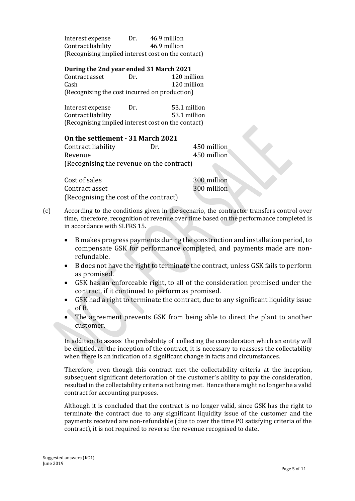Interest expense Dr. 46.9 million Contract liability 46.9 million (Recognising implied interest cost on the contact)

#### **During the 2nd year ended 31 March 2021**

Contract asset Dr. 120 million Cash 120 million (Recognizing the cost incurred on production)

Interest expense Dr. 53.1 million Contract liability 53.1 million (Recognising implied interest cost on the contact)

#### **On the settlement - 31 March 2021**

Contract liability Dr. 450 million Revenue 450 million (Recognising the revenue on the contract)

Cost of sales 300 million Contract asset 300 million (Recognising the cost of the contract)

- (c) According to the conditions given in the scenario, the contractor transfers control over time, therefore, recognition of revenue over time based on the performance completed is in accordance with SLFRS 15.
	- B makes progress payments during the construction and installation period, to compensate GSK for performance completed, and payments made are nonrefundable.
	- B does not have the right to terminate the contract, unless GSK fails to perform as promised.
	- GSK has an enforceable right, to all of the consideration promised under the contract, if it continued to perform as promised.
	- GSK had a right to terminate the contract, due to any significant liquidity issue of B.
	- The agreement prevents GSK from being able to direct the plant to another customer.

In addition to assess the probability of collecting the consideration which an entity will be entitled, at the inception of the contract, it is necessary to reassess the collectability when there is an indication of a significant change in facts and circumstances.

Therefore, even though this contract met the collectability criteria at the inception, subsequent significant deterioration of the customer's ability to pay the consideration, resulted in the collectability criteria not being met. Hence there might no longer be a valid contract for accounting purposes.

Although it is concluded that the contract is no longer valid, since GSK has the right to terminate the contract due to any significant liquidity issue of the customer and the payments received are non-refundable (due to over the time PO satisfying criteria of the contract), it is not required to reverse the revenue recognised to date**.**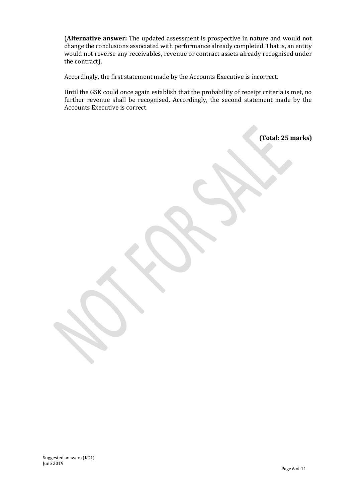(**Alternative answer:** The updated assessment is prospective in nature and would not change the conclusions associated with performance already completed. That is, an entity would not reverse any receivables, revenue or contract assets already recognised under the contract).

Accordingly, the first statement made by the Accounts Executive is incorrect.

Until the GSK could once again establish that the probability of receipt criteria is met, no further revenue shall be recognised. Accordingly, the second statement made by the Accounts Executive is correct.

**(Total: 25 marks)**

Suggested answers (KC1) June 2019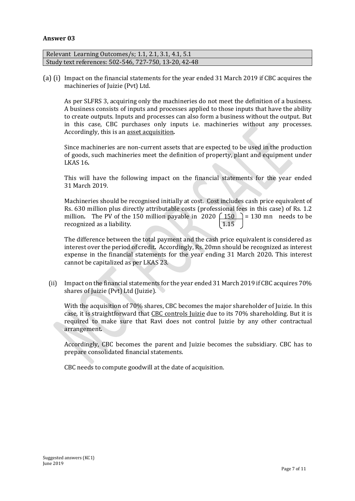#### **Answer 03**

| Relevant Learning Outcomes/s; 1.1, 2.1, 3.1, 4.1, 5.1 |  |
|-------------------------------------------------------|--|
| Study text references: 502-546, 727-750, 13-20, 42-48 |  |

(a) (i) Impact on the financial statements for the year ended 31 March 2019 if CBC acquires the machineries of Juizie (Pvt) Ltd.

As per SLFRS 3, acquiring only the machineries do not meet the definition of a business. A business consists of inputs and processes applied to those inputs that have the ability to create outputs. Inputs and processes can also form a business without the output. But in this case, CBC purchases only inputs i.e. machineries without any processes. Accordingly, this is an asset acquisition*.*

Since machineries are non-current assets that are expected to be used in the production of goods, such machineries meet the definition of property, plant and equipment under LKAS 16*.*

This will have the following impact on the financial statements for the year ended 31 March 2019.

Machineries should be recognised initially at cost. Cost includes cash price equivalent of Rs. 630 million plus directly attributable costs (professional fees in this case) of Rs. 1.2 million. The PV of the 150 million payable in 2020  $\left(\frac{150}{1.15}\right)$  = 130 mn needs to be recognized as a liability. recognized as a liability.

The difference between the total payment and the cash price equivalent is considered as interest over the period of credit*.* Accordingly, Rs. 20mn should be recognized as interest expense in the financial statements for the year ending 31 March 2020*.* This interest cannot be capitalized as per LKAS 23.

 (ii) Impact on the financial statements for the year ended 31 March 2019 if CBC acquires 70% shares of Juizie (Pvt) Ltd (Juizie).

With the acquisition of 70% shares, CBC becomes the major shareholder of Juizie. In this case, it is straightforward that CBC controls Juizie due to its 70% shareholding. But it is required to make sure that Ravi does not control Juizie by any other contractual arrangement*.*

Accordingly, CBC becomes the parent and Juizie becomes the subsidiary. CBC has to prepare consolidated financial statements.

CBC needs to compute goodwill at the date of acquisition.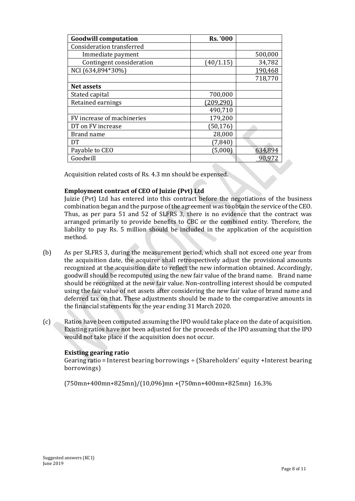| <b>Goodwill computation</b>      | Rs. '000   |         |
|----------------------------------|------------|---------|
| <b>Consideration transferred</b> |            |         |
| Immediate payment                |            | 500,000 |
| Contingent consideration         | (40/1.15)  | 34,782  |
| NCI (634,894*30%)                |            | 190,468 |
|                                  |            | 718,770 |
| <b>Net assets</b>                |            |         |
| Stated capital                   | 700,000    |         |
| Retained earnings                | (209, 290) |         |
|                                  | 490,710    |         |
| FV increase of machineries       | 179,200    |         |
| DT on FV increase                | (50, 176)  |         |
| Brand name                       | 28,000     |         |
| DT                               | (7, 840)   |         |
| Payable to CEO                   | (5,000)    | 634,894 |
| Goodwill                         |            | 90.91   |

Acquisition related costs of Rs. 4.3 mn should be expensed.

# **Employment contract of CEO of Juizie (Pvt) Ltd**

Juizie (Pvt) Ltd has entered into this contract before the negotiations of the business combination began and the purpose of the agreement was to obtain the service of the CEO. Thus, as per para 51 and 52 of SLFRS 3, there is no evidence that the contract was arranged primarily to provide benefits to CBC or the combined entity. Therefore, the liability to pay Rs. 5 million should be included in the application of the acquisition method.

- (b) As per SLFRS 3, during the measurement period, which shall not exceed one year from the acquisition date, the acquirer shall retrospectively adjust the provisional amounts recognized at the acquisition date to reflect the new information obtained. Accordingly, goodwill should be recomputed using the new fair value of the brand name. Brand name should be recognized at the new fair value. Non-controlling interest should be computed using the fair value of net assets after considering the new fair value of brand name and deferred tax on that. These adjustments should be made to the comparative amounts in the financial statements for the year ending 31 March 2020.
- (c) Ratios have been computed assuming the IPO would take place on the date of acquisition. Existing ratios have not been adjusted for the proceeds of the IPO assuming that the IPO would not take place if the acquisition does not occur.

# **Existing gearing ratio**

Gearing ratio = Interest bearing borrowings  $\div$  (Shareholders' equity +Interest bearing borrowings)

(750mn+400mn+825mn)/(10,096)mn +(750mn+400mn+825mn) 16.3%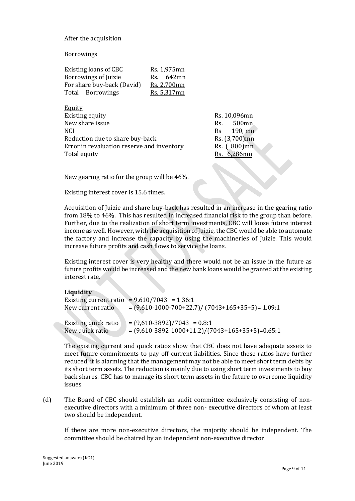### After the acquisition

#### Borrowings

| Existing loans of CBC      | Rs. 1,975mn |  |
|----------------------------|-------------|--|
| Borrowings of Juizie       | Rs. 642mn   |  |
| For share buy-back (David) | Rs. 2,700mn |  |
| Total Borrowings           | Rs. 5,317mn |  |

Equity Existing equity Rs. 10,096mn New share issue Rs. 500mn. NCI Rs 190, mn Reduction due to share buy-back Rs. (3,700)mn Error in revaluation reserve and inventory Rs. (800)mn Total equity **Rs.** 6,286mn

New gearing ratio for the group will be 46%.

Existing interest cover is 15.6 times.

Acquisition of Juizie and share buy-back has resulted in an increase in the gearing ratio from 18% to 46%. This has resulted in increased financial risk to the group than before. Further, due to the realization of short term investments, CBC will loose future interest income as well. However, with the acquisition of Juizie, the CBC would be able to automate the factory and increase the capacity by using the machineries of Juizie. This would increase future profits and cash flows to service the loans.

Existing interest cover is very healthy and there would not be an issue in the future as future profits would be increased and the new bank loans would be granted at the existing interest rate.

#### **Liquidity**

| New current ratio    | Existing current ratio = $9,610/7043$ = 1.36:1<br>$=(9,610-1000-700+22.7)/(7043+165+35+5)=1.09:1$ |
|----------------------|---------------------------------------------------------------------------------------------------|
| Existing quick ratio | $=(9,610-3892)/7043 = 0.8.1$                                                                      |
| New quick ratio      | $= (9,610-3892-1000+11.2)/(7043+165+35+5)=0.65:1$                                                 |

The existing current and quick ratios show that CBC does not have adequate assets to meet future commitments to pay off current liabilities. Since these ratios have further reduced, it is alarming that the management may not be able to meet short term debts by its short term assets. The reduction is mainly due to using short term investments to buy back shares. CBC has to manage its short term assets in the future to overcome liquidity issues.

(d) The Board of CBC should establish an audit committee exclusively consisting of nonexecutive directors with a minimum of three non- executive directors of whom at least two should be independent.

If there are more non-executive directors, the majority should be independent. The committee should be chaired by an independent non-executive director.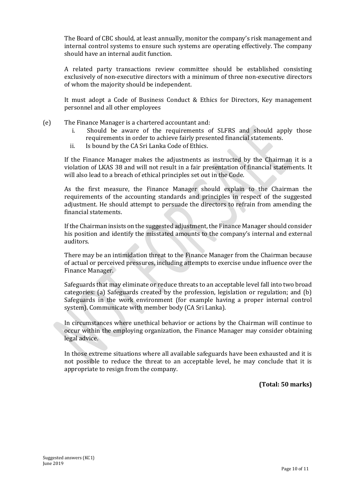The Board of CBC should, at least annually, monitor the company's risk management and internal control systems to ensure such systems are operating effectively. The company should have an internal audit function.

A related party transactions review committee should be established consisting exclusively of non-executive directors with a minimum of three non-executive directors of whom the majority should be independent.

It must adopt a Code of Business Conduct & Ethics for Directors, Key management personnel and all other employees

- (e) The Finance Manager is a chartered accountant and:
	- i. Should be aware of the requirements of SLFRS and should apply those requirements in order to achieve fairly presented financial statements.
	- ii. Is bound by the CA Sri Lanka Code of Ethics.

If the Finance Manager makes the adjustments as instructed by the Chairman it is a violation of LKAS 38 and will not result in a fair presentation of financial statements. It will also lead to a breach of ethical principles set out in the Code.

As the first measure, the Finance Manager should explain to the Chairman the requirements of the accounting standards and principles in respect of the suggested adjustment. He should attempt to persuade the directors to refrain from amending the financial statements.

If the Chairman insists on the suggested adjustment, the Finance Manager should consider his position and identify the misstated amounts to the company's internal and external auditors.

There may be an intimidation threat to the Finance Manager from the Chairman because of actual or perceived pressures, including attempts to exercise undue influence over the Finance Manager.

Safeguards that may eliminate or reduce threats to an acceptable level fall into two broad categories: (a) Safeguards created by the profession, legislation or regulation; and (b) Safeguards in the work environment (for example having a proper internal control system). Communicate with member body (CA Sri Lanka).

In circumstances where unethical behavior or actions by the Chairman will continue to occur within the employing organization, the Finance Manager may consider obtaining legal advice.

In those extreme situations where all available safeguards have been exhausted and it is not possible to reduce the threat to an acceptable level, he may conclude that it is appropriate to resign from the company.

**(Total: 50 marks)**